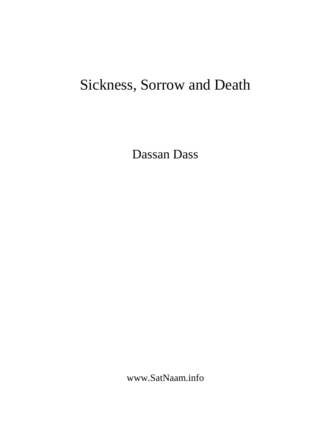# Sickness, Sorrow and Death

Dassan Dass

www.SatNaam.info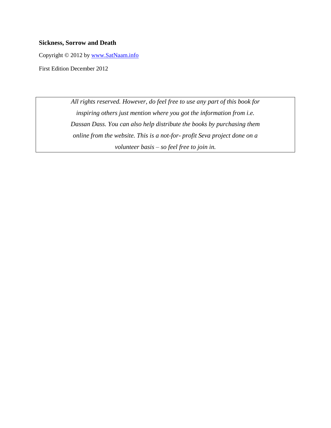## **Sickness, Sorrow and Death**

Copyright © 2012 by [www.SatNaam.info](http://www.satnaam.info/)

First Edition December 2012

*All rights reserved. However, do feel free to use any part of this book for inspiring others just mention where you got the information from i.e. Dassan Dass. You can also help distribute the books by purchasing them online from the website. This is a not-for- profit Seva project done on a volunteer basis – so feel free to join in.*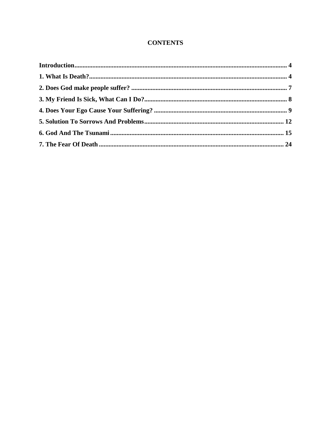# **CONTENTS**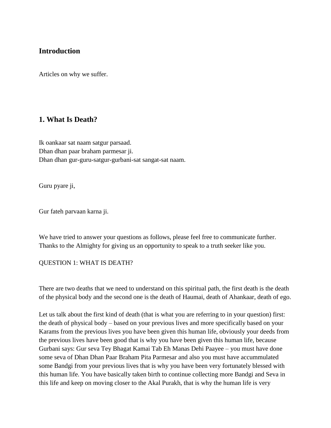# <span id="page-3-0"></span>**Introduction**

Articles on why we suffer.

# <span id="page-3-1"></span>**1. What Is Death?**

Ik oankaar sat naam satgur parsaad. Dhan dhan paar braham parmesar ji. Dhan dhan gur-guru-satgur-gurbani-sat sangat-sat naam.

Guru pyare ji,

Gur fateh parvaan karna ji.

We have tried to answer your questions as follows, please feel free to communicate further. Thanks to the Almighty for giving us an opportunity to speak to a truth seeker like you.

## QUESTION 1: WHAT IS DEATH?

There are two deaths that we need to understand on this spiritual path, the first death is the death of the physical body and the second one is the death of Haumai, death of Ahankaar, death of ego.

Let us talk about the first kind of death (that is what you are referring to in your question) first: the death of physical body – based on your previous lives and more specifically based on your Karams from the previous lives you have been given this human life, obviously your deeds from the previous lives have been good that is why you have been given this human life, because Gurbani says: Gur seva Tey Bhagat Kamai Tab Eh Manas Dehi Paayee – you must have done some seva of Dhan Dhan Paar Braham Pita Parmesar and also you must have accummulated some Bandgi from your previous lives that is why you have been very fortunately blessed with this human life. You have basically taken birth to continue collecting more Bandgi and Seva in this life and keep on moving closer to the Akal Purakh, that is why the human life is very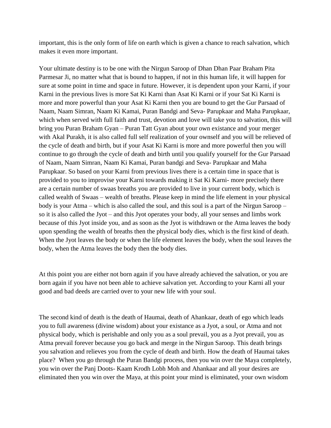important, this is the only form of life on earth which is given a chance to reach salvation, which makes it even more important.

Your ultimate destiny is to be one with the Nirgun Saroop of Dhan Dhan Paar Braham Pita Parmesar Ji, no matter what that is bound to happen, if not in this human life, it will happen for sure at some point in time and space in future. However, it is dependent upon your Karni, if your Karni in the previous lives is more Sat Ki Karni than Asat Ki Karni or if your Sat Ki Karni is more and more powerful than your Asat Ki Karni then you are bound to get the Gur Parsaad of Naam, Naam Simran, Naam Ki Kamai, Puran Bandgi and Seva- Parupkaar and Maha Parupkaar, which when served with full faith and trust, devotion and love will take you to salvation, this will bring you Puran Braham Gyan – Puran Tatt Gyan about your own existance and your merger with Akal Purakh, it is also called full self realization of your ownself and you will be relieved of the cycle of death and birth, but if your Asat Ki Karni is more and more powerful then you will continue to go through the cycle of death and birth until you qualify yourself for the Gur Parsaad of Naam, Naam Simran, Naam Ki Kamai, Puran bandgi and Seva- Parupkaar and Maha Parupkaar. So based on your Karni from previous lives there is a certain time in space that is provided to you to improvise your Karni towards making it Sat Ki Karni- more precisely there are a certain number of swaas breaths you are provided to live in your current body, which is called wealth of Swaas – wealth of breaths. Please keep in mind the life element in your physical body is your Atma – which is also called the soul, and this soul is a part of the Nirgun Saroop – so it is also called the Jyot – and this Jyot operates your body, all your senses and limbs work because of this Jyot inside you, and as soon as the Jyot is withdrawn or the Atma leaves the body upon spending the wealth of breaths then the physical body dies, which is the first kind of death. When the Jyot leaves the body or when the life element leaves the body, when the soul leaves the body, when the Atma leaves the body then the body dies.

At this point you are either not born again if you have already achieved the salvation, or you are born again if you have not been able to achieve salvation yet. According to your Karni all your good and bad deeds are carried over to your new life with your soul.

The second kind of death is the death of Haumai, death of Ahankaar, death of ego which leads you to full awareness (divine wisdom) about your existance as a Jyot, a soul, or Atma and not physical body, which is perishable and only you as a soul prevail, you as a Jyot prevail, you as Atma prevail forever because you go back and merge in the Nirgun Saroop. This death brings you salvation and relieves you from the cycle of death and birth. How the death of Haumai takes place? When you go through the Puran Bandgi process, then you win over the Maya completely, you win over the Panj Doots- Kaam Krodh Lobh Moh and Ahankaar and all your desires are eliminated then you win over the Maya, at this point your mind is eliminated, your own wisdom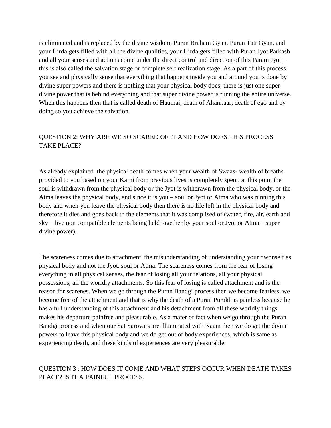is eliminated and is replaced by the divine wisdom, Puran Braham Gyan, Puran Tatt Gyan, and your Hirda gets filled with all the divine qualities, your Hirda gets filled with Puran Jyot Parkash and all your senses and actions come under the direct control and direction of this Param Jyot – this is also called the salvation stage or complete self realization stage. As a part of this process you see and physically sense that everything that happens inside you and around you is done by divine super powers and there is nothing that your physical body does, there is just one super divine power that is behind everything and that super divine power is running the entire universe. When this happens then that is called death of Haumai, death of Ahankaar, death of ego and by doing so you achieve the salvation.

# QUESTION 2: WHY ARE WE SO SCARED OF IT AND HOW DOES THIS PROCESS TAKE PLACE?

As already explained the physical death comes when your wealth of Swaas- wealth of breaths provided to you based on your Karni from previous lives is completely spent, at this point the soul is withdrawn from the physical body or the Jyot is withdrawn from the physical body, or the Atma leaves the physical body, and since it is you – soul or Jyot or Atma who was running this body and when you leave the physical body then there is no life left in the physical body and therefore it dies and goes back to the elements that it was complised of (water, fire, air, earth and sky – five non compatible elements being held together by your soul or Jyot or Atma – super divine power).

The scareness comes due to attachment, the misunderstanding of understanding your ownnself as physical body and not the Jyot, soul or Atma. The scareness comes from the fear of losing everything in all physical senses, the fear of losing all your relations, all your physical possessions, all the worldly attachments. So this fear of losing is called attachment and is the reason for scarenes. When we go through the Puran Bandgi process then we become fearless, we become free of the attachment and that is why the death of a Puran Purakh is painless because he has a full understanding of this attachment and his detachment from all these worldly things makes his departure painfree and pleasurable. As a mater of fact when we go through the Puran Bandgi process and when our Sat Sarovars are illuminated with Naam then we do get the divine powers to leave this physical body and we do get out of body experiences, which is same as experiencing death, and these kinds of experiences are very pleasurable.

## QUESTION 3 : HOW DOES IT COME AND WHAT STEPS OCCUR WHEN DEATH TAKES PLACE? IS IT A PAINFUL PROCESS.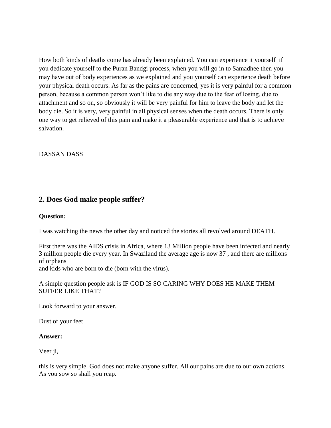How both kinds of deaths come has already been explained. You can experience it yourself if you dedicate yourself to the Puran Bandgi process, when you will go in to Samadhee then you may have out of body experiences as we explained and you yourself can experience death before your physical death occurs. As far as the pains are concerned, yes it is very painful for a common person, because a common person won't like to die any way due to the fear of losing, due to attachment and so on, so obviously it will be very painful for him to leave the body and let the body die. So it is very, very painful in all physical senses when the death occurs. There is only one way to get relieved of this pain and make it a pleasurable experience and that is to achieve salvation.

DASSAN DASS

# <span id="page-6-0"></span>**2. Does God make people suffer?**

## **Question:**

I was watching the news the other day and noticed the stories all revolved around DEATH.

First there was the AIDS crisis in Africa, where 13 Million people have been infected and nearly 3 million people die every year. In Swaziland the average age is now 37 , and there are millions of orphans

and kids who are born to die (born with the virus).

A simple question people ask is IF GOD IS SO CARING WHY DOES HE MAKE THEM SUFFER LIKE THAT?

Look forward to your answer.

Dust of your feet

## **Answer:**

Veer ji,

this is very simple. God does not make anyone suffer. All our pains are due to our own actions. As you sow so shall you reap.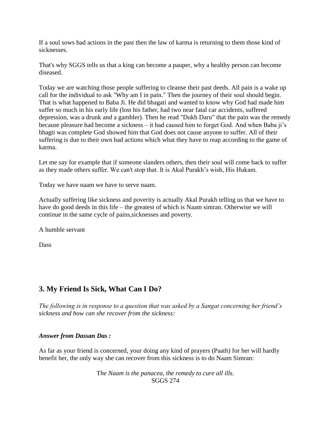If a soul sows bad actions in the past then the law of karma is returning to them those kind of sicknesses.

That's why SGGS tells us that a king can become a pauper, why a healthy person can become diseased.

Today we are watching those people suffering to cleanse their past deeds. All pain is a wake up call for the individual to ask "Why am I in pain." Then the journey of their soul should begin. That is what happened to Baba Ji. He did bhagati and wanted to know why God had made him suffer so much in his early life (lost his father, had two near fatal car accidents, suffered depression, was a drunk and a gambler). Then he read "Dukh Daru" that the pain was the remedy because pleasure had become a sickness – it had caused him to forget God. And when Baba ji's bhagti was complete God showed him that God does not cause anyone to suffer. All of their suffering is due to their own bad actions which what they have to reap according to the game of karma.

Let me say for example that if someone slanders others, then their soul will come back to suffer as they made others suffer. We can't stop that. It is Akal Purakh's wish, His Hukam.

Today we have naam we have to serve naam.

Actually suffering like sickness and poverity is actually Akal Purakh telling us that we have to have do good deeds in this life – the greatest of which is Naam simran. Otherwise we will continue in the same cycle of pains,sicknesses and poverty.

A humble servant

Dass

# <span id="page-7-0"></span>**3. My Friend Is Sick, What Can I Do?**

*The following is in response to a question that was asked by a Sangat concerning her friend's sickness and how can she recover from the sickness:*

## *Answer from Dassan Das :*

As far as your friend is concerned, your doing any kind of prayers (Paath) for her will hardly benefit her, the only way she can recover from this sickness is to do Naam Simran:

> T*he Naam is the panacea, the remedy to cure all ills.* SGGS 274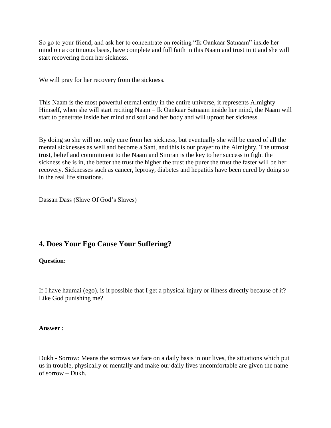So go to your friend, and ask her to concentrate on reciting "Ik Oankaar Satnaam" inside her mind on a continuous basis, have complete and full faith in this Naam and trust in it and she will start recovering from her sickness.

We will pray for her recovery from the sickness.

This Naam is the most powerful eternal entity in the entire universe, it represents Almighty Himself, when she will start reciting Naam – Ik Oankaar Satnaam inside her mind, the Naam will start to penetrate inside her mind and soul and her body and will uproot her sickness.

By doing so she will not only cure from her sickness, but eventually she will be cured of all the mental sicknesses as well and become a Sant, and this is our prayer to the Almighty. The utmost trust, belief and commitment to the Naam and Simran is the key to her success to fight the sickness she is in, the better the trust the higher the trust the purer the trust the faster will be her recovery. Sicknesses such as cancer, leprosy, diabetes and hepatitis have been cured by doing so in the real life situations.

Dassan Dass (Slave Of God's Slaves)

# <span id="page-8-0"></span>**4. Does Your Ego Cause Your Suffering?**

## **Question:**

If I have haumai (ego), is it possible that I get a physical injury or illness directly because of it? Like God punishing me?

#### **Answer :**

Dukh - Sorrow: Means the sorrows we face on a daily basis in our lives, the situations which put us in trouble, physically or mentally and make our daily lives uncomfortable are given the name of sorrow – Dukh.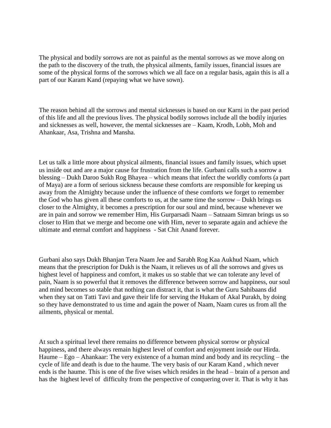The physical and bodily sorrows are not as painful as the mental sorrows as we move along on the path to the discovery of the truth, the physical ailments, family issues, financial issues are some of the physical forms of the sorrows which we all face on a regular basis, again this is all a part of our Karam Kand (repaying what we have sown).

The reason behind all the sorrows and mental sicknesses is based on our Karni in the past period of this life and all the previous lives. The physical bodily sorrows include all the bodily injuries and sicknesses as well, however, the mental sicknesses are – Kaam, Krodh, Lobh, Moh and Ahankaar, Asa, Trishna and Mansha.

Let us talk a little more about physical ailments, financial issues and family issues, which upset us inside out and are a major cause for frustration from the life. Gurbani calls such a sorrow a blessing – Dukh Daroo Sukh Rog Bhayea – which means that infect the worldly comforts (a part of Maya) are a form of serious sickness because these comforts are responsible for keeping us away from the Almighty because under the influence of these comforts we forget to remember the God who has given all these comforts to us, at the same time the sorrow – Dukh brings us closer to the Almighty, it becomes a prescription for our soul and mind, because whenever we are in pain and sorrow we remember Him, His Gurparsadi Naam – Satnaam Simran brings us so closer to Him that we merge and become one with Him, never to separate again and achieve the ultimate and eternal comfort and happiness - Sat Chit Anand forever.

Gurbani also says Dukh Bhanjan Tera Naam Jee and Sarabh Rog Kaa Aukhud Naam, which means that the prescription for Dukh is the Naam, it relieves us of all the sorrows and gives us highest level of happiness and comfort, it makes us so stable that we can tolerate any level of pain, Naam is so powerful that it removes the difference between sorrow and happiness, our soul and mind becomes so stable that nothing can distract it, that is what the Guru Sahibaans did when they sat on Tatti Tavi and gave their life for serving the Hukam of Akal Purakh, by doing so they have demonstrated to us time and again the power of Naam, Naam cures us from all the ailments, physical or mental.

At such a spiritual level there remains no difference between physical sorrow or physical happiness, and there always remain highest level of comfort and enjoyment inside our Hirda. Haume – Ego – Ahankaar: The very existence of a human mind and body and its recycling – the cycle of life and death is due to the haume. The very basis of our Karam Kand , which never ends is the haume. This is one of the five wises which resides in the head – brain of a person and has the highest level of difficulty from the perspective of conquering over it. That is why it has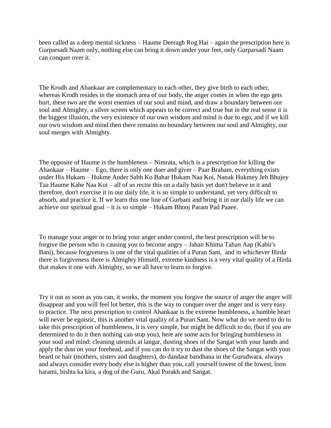been called as a deep mental sickness – Haume Deeragh Rog Hai – again the prescription here is Gurparsadi Naam only, nothing else can bring it down under your feet, only Gurparsadi Naam can conquer over it.

The Krodh and Ahankaar are complementary to each other, they give birth to each other, whereas Krodh resides in the stomach area of our body, the anger comes in when the ego gets hurt, these two are the worst enemies of our soul and mind, and draw a boundary between our soul and Almighty, a silver screen which appears to be correct and true but in the real sense it is the biggest illusion, the very existence of our own wisdom and mind is due to ego, and if we kill our own wisdom and mind then there remains no boundary between our soul and Almighty, our soul merges with Almighty.

The opposite of Haume is the humbleness – Nimrata, which is a prescription for killing the Ahankaar – Haume – Ego, there is only one doer and giver – Paar Braham, everything exists under His Hukam – Hukme Ander Sabh Ko Bahar Hukam Naa Koi, Nanak Hukmey Jeh Bhujey Taa Haume Kahe Naa Koi – all of us recite this on a daily basis yet don't believe in it and therefore, don't exercise it in our daily life, it is so simple to understand, yet very difficult to absorb, and practice it. If we learn this one line of Gurbani and bring it in our daily life we can achieve our spiritual goal – it is so simple – Hukam Bhooj Param Pad Paaee.

To manage your anger or to bring your anger under control, the best prescription will be to forgive the person who is causing you to become angry – Jahan Khima Tahan Aap (Kabir's Bani), because forgiveness is one of the vital qualities of a Puran Sant, and in whichever Hirda there is forgiveness there is Almighty Himself, extreme kindness is a very vital quality of a Hirda that makes it one with Almighty, so we all have to learn to forgive.

Try it out as soon as you can, it works, the moment you forgive the source of anger the anger will disappear and you will feel lot better, this is the way to conquer over the anger and is very easy to practice. The next prescription to control Ahankaar is the extreme humbleness, a humble heart will never be egoistic, this is another vital quality of a Puran Sant. Now what do we need to do to take this prescription of humbleness, it is very simple, but might be difficult to do, (but if you are determined to do it then nothing can stop you), here are some acts for bringing humbleness in your soul and mind: cleaning utensils at langar, dusting shoes of the Sangat with your hands and apply the dust on your forehead, and if you can do it try to dust the shoes of the Sangat with your beard or hair (mothers, sisters and daughters), do dandaut bandhana in the Gurudwara, always and always consider every body else is higher than you, call yourself lowest of the lowest, loon harami, bishta ka kira, a dog of the Guru, Akal Purakh and Sangat.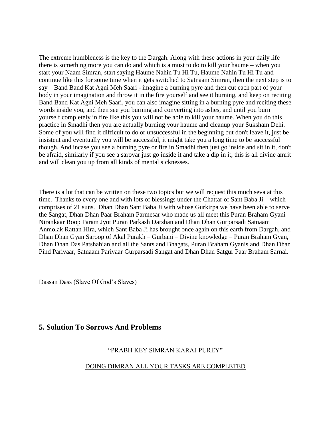The extreme humbleness is the key to the Dargah. Along with these actions in your daily life there is something more you can do and which is a must to do to kill your haume – when you start your Naam Simran, start saying Haume Nahin Tu Hi Tu, Haume Nahin Tu Hi Tu and continue like this for some time when it gets switched to Satnaam Simran, then the next step is to say – Band Band Kat Agni Meh Saari - imagine a burning pyre and then cut each part of your body in your imagination and throw it in the fire yourself and see it burning, and keep on reciting Band Band Kat Agni Meh Saari, you can also imagine sitting in a burning pyre and reciting these words inside you, and then see you burning and converting into ashes, and until you burn yourself completely in fire like this you will not be able to kill your haume. When you do this practice in Smadhi then you are actually burning your haume and cleanup your Suksham Dehi. Some of you will find it difficult to do or unsuccessful in the beginning but don't leave it, just be insistent and eventually you will be successful, it might take you a long time to be successful though. And incase you see a burning pyre or fire in Smadhi then just go inside and sit in it, don't be afraid, similarly if you see a sarovar just go inside it and take a dip in it, this is all divine amrit and will clean you up from all kinds of mental sicknesses.

There is a lot that can be written on these two topics but we will request this much seva at this time. Thanks to every one and with lots of blessings under the Chattar of Sant Baba Ji – which comprises of 21 suns. Dhan Dhan Sant Baba Ji with whose Gurkirpa we have been able to serve the Sangat, Dhan Dhan Paar Braham Parmesar who made us all meet this Puran Braham Gyani – Nirankaar Roop Param Jyot Puran Parkash Darshan and Dhan Dhan Gurparsadi Satnaam Anmolak Rattan Hira, which Sant Baba Ji has brought once again on this earth from Dargah, and Dhan Dhan Gyan Saroop of Akal Purakh – Gurbani – Divine knowledge – Puran Braham Gyan, Dhan Dhan Das Patshahian and all the Sants and Bhagats, Puran Braham Gyanis and Dhan Dhan Pind Parivaar, Satnaam Parivaar Gurparsadi Sangat and Dhan Dhan Satgur Paar Braham Sarnai.

Dassan Dass (Slave Of God's Slaves)

# <span id="page-11-0"></span>**5. Solution To Sorrows And Problems**

## "PRABH KEY SIMRAN KARAJ PUREY"

## DOING DIMRAN ALL YOUR TASKS ARE COMPLETED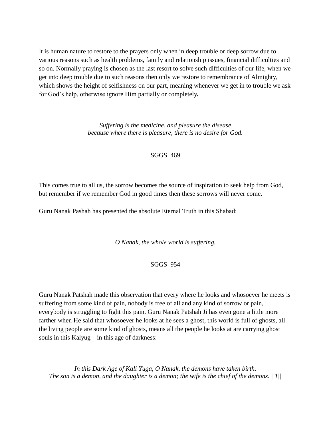It is human nature to restore to the prayers only when in deep trouble or deep sorrow due to various reasons such as health problems, family and relationship issues, financial difficulties and so on. Normally praying is chosen as the last resort to solve such difficulties of our life, when we get into deep trouble due to such reasons then only we restore to remembrance of Almighty, which shows the height of selfishness on our part, meaning whenever we get in to trouble we ask for God's help, otherwise ignore Him partially or completely*.* 

> *Suffering is the medicine, and pleasure the disease, because where there is pleasure, there is no desire for God.*

> > SGGS 469

This comes true to all us, the sorrow becomes the source of inspiration to seek help from God, but remember if we remember God in good times then these sorrows will never come.

Guru Nanak Pashah has presented the absolute Eternal Truth in this Shabad:

*O Nanak, the whole world is suffering.*

SGGS 954

Guru Nanak Patshah made this observation that every where he looks and whosoever he meets is suffering from some kind of pain, nobody is free of all and any kind of sorrow or pain, everybody is struggling to fight this pain. Guru Nanak Patshah Ji has even gone a little more farther when He said that whosoever he looks at he sees a ghost, this world is full of ghosts, all the living people are some kind of ghosts, means all the people he looks at are carrying ghost souls in this Kalyug – in this age of darkness:

*In this Dark Age of Kali Yuga, O Nanak, the demons have taken birth. The son is a demon, and the daughter is a demon; the wife is the chief of the demons. ||1||*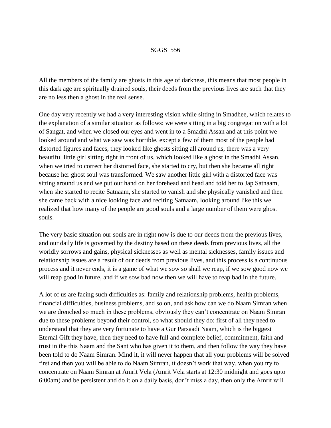#### SGGS 556

All the members of the family are ghosts in this age of darkness, this means that most people in this dark age are spiritually drained souls, their deeds from the previous lives are such that they are no less then a ghost in the real sense.

One day very recently we had a very interesting vision while sitting in Smadhee, which relates to the explanation of a similar situation as follows: we were sitting in a big congregation with a lot of Sangat, and when we closed our eyes and went in to a Smadhi Assan and at this point we looked around and what we saw was horrible, except a few of them most of the people had distorted figures and faces, they looked like ghosts sitting all around us, there was a very beautiful little girl sitting right in front of us, which looked like a ghost in the Smadhi Assan, when we tried to correct her distorted face, she started to cry, but then she became all right because her ghost soul was transformed. We saw another little girl with a distorted face was sitting around us and we put our hand on her forehead and head and told her to Jap Satnaam, when she started to recite Satnaam, she started to vanish and she physically vanished and then she came back with a nice looking face and reciting Satnaam, looking around like this we realized that how many of the people are good souls and a large number of them were ghost souls.

The very basic situation our souls are in right now is due to our deeds from the previous lives, and our daily life is governed by the destiny based on these deeds from previous lives, all the worldly sorrows and gains, physical sicknesses as well as mental sicknesses, family issues and relationship issues are a result of our deeds from previous lives, and this process is a continuous process and it never ends, it is a game of what we sow so shall we reap, if we sow good now we will reap good in future, and if we sow bad now then we will have to reap bad in the future.

A lot of us are facing such difficulties as: family and relationship problems, health problems, financial difficulties, business problems, and so on, and ask how can we do Naam Simran when we are drenched so much in these problems, obviously they can't concentrate on Naam Simran due to these problems beyond their control, so what should they do: first of all they need to understand that they are very fortunate to have a Gur Parsaadi Naam, which is the biggest Eternal Gift they have, then they need to have full and complete belief, commitment, faith and trust in the this Naam and the Sant who has given it to them, and then follow the way they have been told to do Naam Simran. Mind it, it will never happen that all your problems will be solved first and then you will be able to do Naam Simran, it doesn't work that way, when you try to concentrate on Naam Simran at Amrit Vela (Amrit Vela starts at 12:30 midnight and goes upto 6:00am) and be persistent and do it on a daily basis, don't miss a day, then only the Amrit will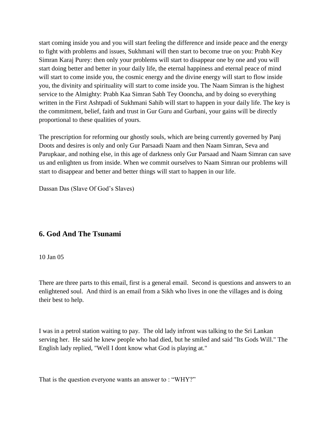start coming inside you and you will start feeling the difference and inside peace and the energy to fight with problems and issues, Sukhmani will then start to become true on you: Prabh Key Simran Karaj Purey: then only your problems will start to disappear one by one and you will start doing better and better in your daily life, the eternal happiness and eternal peace of mind will start to come inside you, the cosmic energy and the divine energy will start to flow inside you, the divinity and spirituality will start to come inside you. The Naam Simran is the highest service to the Almighty: Prabh Kaa Simran Sabh Tey Oooncha, and by doing so everything written in the First Ashtpadi of Sukhmani Sahib will start to happen in your daily life. The key is the commitment, belief, faith and trust in Gur Guru and Gurbani, your gains will be directly proportional to these qualities of yours.

The prescription for reforming our ghostly souls, which are being currently governed by Panj Doots and desires is only and only Gur Parsaadi Naam and then Naam Simran, Seva and Parupkaar, and nothing else, in this age of darkness only Gur Parsaad and Naam Simran can save us and enlighten us from inside. When we commit ourselves to Naam Simran our problems will start to disappear and better and better things will start to happen in our life.

Dassan Das (Slave Of God's Slaves)

# <span id="page-14-0"></span>**6. God And The Tsunami**

10 Jan 05

There are three parts to this email, first is a general email. Second is questions and answers to an enlightened soul. And third is an email from a Sikh who lives in one the villages and is doing their best to help.

I was in a petrol station waiting to pay. The old lady infront was talking to the Sri Lankan serving her. He said he knew people who had died, but he smiled and said "Its Gods Will." The English lady replied, "Well I dont know what God is playing at."

That is the question everyone wants an answer to : "WHY?"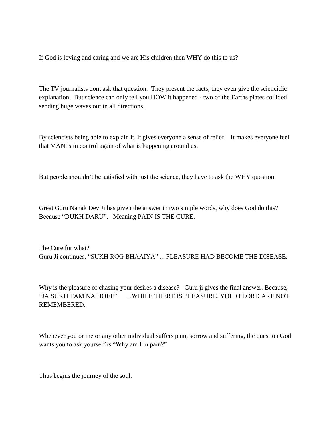If God is loving and caring and we are His children then WHY do this to us?

The TV journalists dont ask that question. They present the facts, they even give the sciencitfic explanation. But science can only tell you HOW it happened - two of the Earths plates collided sending huge waves out in all directions.

By sciencists being able to explain it, it gives everyone a sense of relief. It makes everyone feel that MAN is in control again of what is happening around us.

But people shouldn't be satisfied with just the science, they have to ask the WHY question.

Great Guru Nanak Dev Ji has given the answer in two simple words, why does God do this? Because "DUKH DARU". Meaning PAIN IS THE CURE.

The Cure for what? Guru Ji continues, "SUKH ROG BHAAIYA" …PLEASURE HAD BECOME THE DISEASE.

Why is the pleasure of chasing your desires a disease? Guru ji gives the final answer. Because, "JA SUKH TAM NA HOEE". …WHILE THERE IS PLEASURE, YOU O LORD ARE NOT REMEMBERED.

Whenever you or me or any other individual suffers pain, sorrow and suffering, the question God wants you to ask yourself is "Why am I in pain?"

Thus begins the journey of the soul.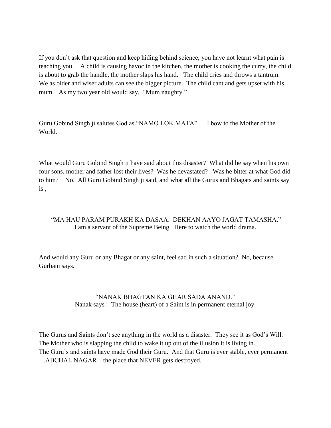If you don't ask that question and keep hiding behind science, you have not learnt what pain is teaching you. A child is causing havoc in the kitchen, the mother is cooking the curry, the child is about to grab the handle, the mother slaps his hand. The child cries and throws a tantrum. We as older and wiser adults can see the bigger picture. The child cant and gets upset with his mum. As my two year old would say, "Mum naughty."

Guru Gobind Singh ji salutes God as "NAMO LOK MATA" … I bow to the Mother of the World.

What would Guru Gobind Singh ji have said about this disaster? What did he say when his own four sons, mother and father lost their lives? Was he devastated? Was he bitter at what God did to him? No. All Guru Gobind Singh ji said, and what all the Gurus and Bhagats and saints say is ,

## "MA HAU PARAM PURAKH KA DASAA. DEKHAN AAYO JAGAT TAMASHA." I am a servant of the Supreme Being. Here to watch the world drama.

And would any Guru or any Bhagat or any saint, feel sad in such a situation? No, because Gurbani says.

## "NANAK BHAGTAN KA GHAR SADA ANAND." Nanak says : The house (heart) of a Saint is in permanent eternal joy.

The Gurus and Saints don't see anything in the world as a disaster. They see it as God's Will. The Mother who is slapping the child to wake it up out of the illusion it is living in. The Guru's and saints have made God their Guru. And that Guru is ever stable, ever permanent …ABCHAL NAGAR – the place that NEVER gets destroyed.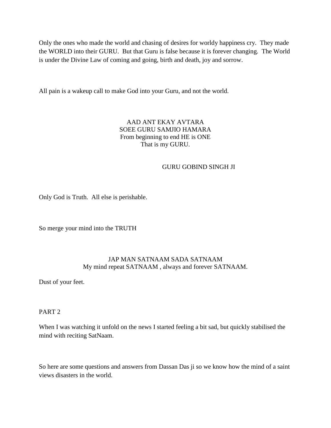Only the ones who made the world and chasing of desires for worldy happiness cry. They made the WORLD into their GURU. But that Guru is false because it is forever changing. The World is under the Divine Law of coming and going, birth and death, joy and sorrow.

All pain is a wakeup call to make God into your Guru, and not the world.

## AAD ANT EKAY AVTARA SOEE GURU SAMJIO HAMARA From beginning to end HE is ONE That is my GURU.

## GURU GOBIND SINGH JI

Only God is Truth. All else is perishable.

So merge your mind into the TRUTH

## JAP MAN SATNAAM SADA SATNAAM My mind repeat SATNAAM , always and forever SATNAAM.

Dust of your feet.

PART 2

When I was watching it unfold on the news I started feeling a bit sad, but quickly stabilised the mind with reciting SatNaam.

So here are some questions and answers from Dassan Das ji so we know how the mind of a saint views disasters in the world.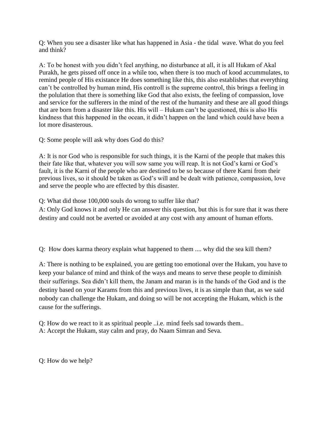Q: When you see a disaster like what has happened in Asia - the tidal wave. What do you feel and think?

A: To be honest with you didn't feel anything, no disturbance at all, it is all Hukam of Akal Purakh, he gets pissed off once in a while too, when there is too much of kood accummulates, to remind people of His existance He does something like this, this also establishes that everything can't be controlled by human mind, His controll is the supreme control, this brings a feeling in the polulation that there is something like God that also exists, the feeling of compassion, love and service for the sufferers in the mind of the rest of the humanity and these are all good things that are born from a disaster like this. His will – Hukam can't be questioned, this is also His kindness that this happened in the ocean, it didn't happen on the land which could have been a lot more disasterous.

Q: Some people will ask why does God do this?

A: It is nor God who is responsible for such things, it is the Karni of the people that makes this their fate like that, whatever you will sow same you will reap. It is not God's karni or God's fault, it is the Karni of the people who are destined to be so because of there Karni from their previous lives, so it should be taken as God's will and be dealt with patience, compassion, love and serve the people who are effected by this disaster.

Q: What did those 100,000 souls do wrong to suffer like that?

A: Only God knows it and only He can answer this question, but this is for sure that it was there destiny and could not be averted or avoided at any cost with any amount of human efforts.

Q: How does karma theory explain what happened to them .... why did the sea kill them?

A: There is nothing to be explained, you are getting too emotional over the Hukam, you have to keep your balance of mind and think of the ways and means to serve these people to diminish their sufferings. Sea didn't kill them, the Janam and maran is in the hands of the God and is the destiny based on your Karams from this and previous lives, it is as simple than that, as we said nobody can challenge the Hukam, and doing so will be not accepting the Hukam, which is the cause for the sufferings.

Q: How do we react to it as spiritual people ..i.e. mind feels sad towards them.. A: Accept the Hukam, stay calm and pray, do Naam Simran and Seva.

Q: How do we help?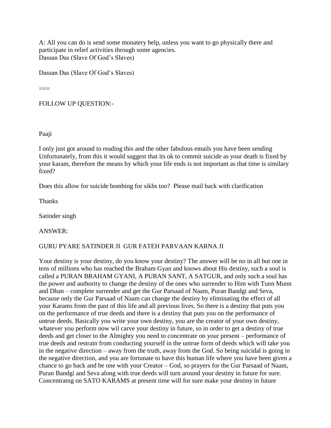A: All you can do is send some monatery help, unless you want to go physically there and participate in relief activities through some agencies. Dassan Das (Slave Of God's Slaves)

Dassan Das (Slave Of God's Slaves)

 $==$ 

FOLLOW UP QUESTION:-

Paaji

I only just got around to reading this and the other fabulous emails you have been sending Unfortunately, from this it would suggest that its ok to commit suicide as your death is fixed by your karam, therefore the means by which your life ends is not important as that time is similary fixed?

Does this allow for suicide bombing for sikhs too? Please mail back with clarification

Thanks

Satinder singh

ANSWER:

## GURU PYARE SATINDER JI GUR FATEH PARVAAN KARNA JI

Your destiny is your destiny, do you know your destiny? The answer will be no in all but one in tens of millions who has reached the Braham Gyan and knows about His destiny, such a soul is called a PURAN BRAHAM GYANI, A PURAN SANT, A SATGUR, and only such a soul has the power and authority to change the destiny of the ones who surrender to Him with Tunn Munn and Dhan – complete surrender and get the Gur Parsaad of Naam, Puran Bandgi and Seva, because only the Gur Parsaad of Naam can change the destiny by eliminating the effect of all your Karams from the past of this life and all previous lives. So there is a destiny that puts you on the performance of true deeds and there is a destiny that puts you on the performance of untrue deeds. Basically you write your own destiny, you are the creator of your own destiny, whatever you perform now wil carve your destiny in future, so in order to get a destiny of true deeds and get closer to the Almighty you need to concentrate on your present – performance of true deeds and restrain from conducting yourself in the untrue form of deeds which will take you in the negative direction – away from the truth, away from the God. So being suicidal is going in the negative direction, and you are fortunate to have this human life where you have been given a chance to go back and be one with your Creator – God, so prayers for the Gur Parsaad of Naam, Puran Bandgi and Seva along with true deeds will turn around your destiny in future for sure. Concentratng on SATO KARAMS at present time will for sure make your destiny in future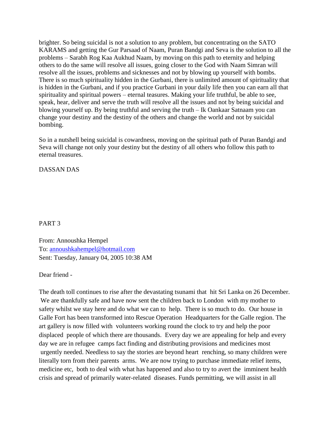brighter. So being suicidal is not a solution to any problem, but concentrating on the SATO KARAMS and getting the Gur Parsaad of Naam, Puran Bandgi and Seva is the solution to all the problems – Sarabh Rog Kaa Aukhud Naam, by moving on this path to eternity and helping others to do the same will resolve all issues, going closer to the God with Naam Simran will resolve all the issues, problems and sicknesses and not by blowing up yourself with bombs. There is so much spirituality hidden in the Gurbani, there is unlimited amount of spirituality that is hidden in the Gurbani, and if you practice Gurbani in your daily life then you can earn all that spirituality and spiritual powers – eternal teasures. Making your life truthful, be able to see, speak, hear, deliver and serve the truth will resolve all the issues and not by being suicidal and blowing yourself up. By being truthful and serving the truth – Ik Oankaar Satnaam you can change your destiny and the destiny of the others and change the world and not by suicidal bombing.

So in a nutshell being suicidal is cowardness, moving on the spiritual path of Puran Bandgi and Seva will change not only your destiny but the destiny of all others who follow this path to eternal treasures.

DASSAN DAS

## PART 3

From: Annoushka Hempel To: [annoushkahempel@hotmail.com](mailto:annoushkahempel@hotmail.com) Sent: Tuesday, January 04, 2005 10:38 AM

Dear friend -

The death toll continues to rise after the devastating tsunami that hit Sri Lanka on 26 December. We are thankfully safe and have now sent the children back to London with my mother to safety whilst we stay here and do what we can to help. There is so much to do. Our house in Galle Fort has been transformed into Rescue Operation Headquarters for the Galle region. The art gallery is now filled with volunteers working round the clock to try and help the poor displaced people of which there are thousands. Every day we are appealing for help and every day we are in refugee camps fact finding and distributing provisions and medicines most urgently needed. Needless to say the stories are beyond heart renching, so many children were literally torn from their parents arms. We are now trying to purchase immediate relief items, medicine etc, both to deal with what has happened and also to try to avert the imminent health crisis and spread of primarily water-related diseases. Funds permitting, we will assist in all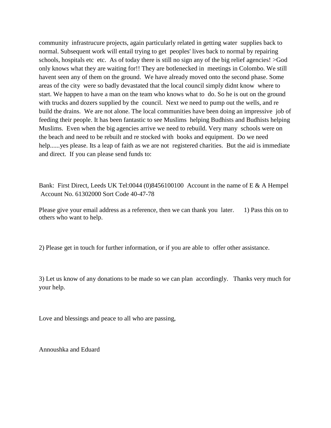community infrastrucure projects, again particularly related in getting water supplies back to normal. Subsequent work will entail trying to get peoples' lives back to normal by repairing schools, hospitals etc etc. As of today there is still no sign any of the big relief agencies! >God only knows what they are waiting for!! They are botlenecked in meetings in Colombo. We still havent seen any of them on the ground. We have already moved onto the second phase. Some areas of the city were so badly devastated that the local council simply didnt know where to start. We happen to have a man on the team who knows what to do. So he is out on the ground with trucks and dozers supplied by the council. Next we need to pump out the wells, and re build the drains. We are not alone. The local communities have been doing an impressive job of feeding their people. It has been fantastic to see Muslims helping Budhists and Budhists helping Muslims. Even when the big agencies arrive we need to rebuild. Very many schools were on the beach and need to be rebuilt and re stocked with books and equipment. Do we need help......yes please. Its a leap of faith as we are not registered charities. But the aid is immediate and direct. If you can please send funds to:

Bank: First Direct, Leeds UK Tel:0044 (0)8456100100 Account in the name of E & A Hempel Account No. 61302000 Sort Code 40-47-78

Please give your email address as a reference, then we can thank you later. 1) Pass this on to others who want to help.

2) Please get in touch for further information, or if you are able to offer other assistance.

3) Let us know of any donations to be made so we can plan accordingly. Thanks very much for your help.

Love and blessings and peace to all who are passing,

Annoushka and Eduard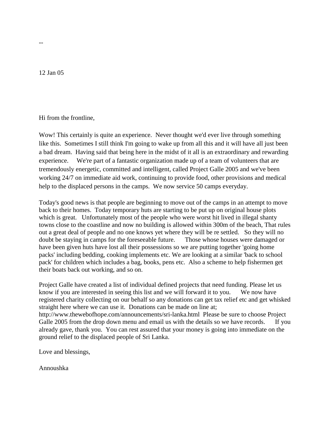12 Jan 05

--

Hi from the frontline,

Wow! This certainly is quite an experience. Never thought we'd ever live through something like this. Sometimes I still think I'm going to wake up from all this and it will have all just been a bad dream. Having said that being here in the midst of it all is an extraordinary and rewarding experience. We're part of a fantastic organization made up of a team of volunteers that are tremendously energetic, committed and intelligent, called Project Galle 2005 and we've been working 24/7 on immediate aid work, continuing to provide food, other provisions and medical help to the displaced persons in the camps. We now service 50 camps everyday.

Today's good news is that people are beginning to move out of the camps in an attempt to move back to their homes. Today temporary huts are starting to be put up on original house plots which is great. Unfortunately most of the people who were worst hit lived in illegal shanty towns close to the coastline and now no building is allowed within 300m of the beach, That rules out a great deal of people and no one knows yet where they will be re settled. So they will no doubt be staying in camps for the foreseeable future. Those whose houses were damaged or have been given huts have lost all their possessions so we are putting together 'going home packs' including bedding, cooking implements etc. We are looking at a similar 'back to school pack' for children which includes a bag, books, pens etc. Also a scheme to help fishermen get their boats back out working, and so on.

Project Galle have created a list of individual defined projects that need funding. Please let us know if you are interested in seeing this list and we will forward it to you. We now have registered charity collecting on our behalf so any donations can get tax relief etc and get whisked straight here where we can use it. Donations can be made on line at; http://www.thewebofhope.com/announcements/sri-lanka.html Please be sure to choose Project Galle 2005 from the drop down menu and email us with the details so we have records. If you already gave, thank you. You can rest assured that your money is going into immediate on the ground relief to the displaced people of Sri Lanka.

Love and blessings,

Annoushka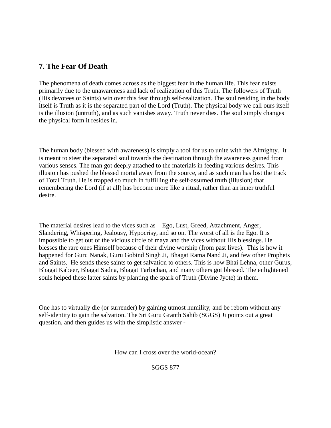# <span id="page-23-0"></span>**7. The Fear Of Death**

The phenomena of death comes across as the biggest fear in the human life. This fear exists primarily due to the unawareness and lack of realization of this Truth. The followers of Truth (His devotees or Saints) win over this fear through self-realization. The soul residing in the body itself is Truth as it is the separated part of the Lord (Truth). The physical body we call ours itself is the illusion (untruth), and as such vanishes away. Truth never dies. The soul simply changes the physical form it resides in.

The human body (blessed with awareness) is simply a tool for us to unite with the Almighty. It is meant to steer the separated soul towards the destination through the awareness gained from various senses. The man got deeply attached to the materials in feeding various desires. This illusion has pushed the blessed mortal away from the source, and as such man has lost the track of Total Truth. He is trapped so much in fulfilling the self-assumed truth (illusion) that remembering the Lord (if at all) has become more like a ritual, rather than an inner truthful desire.

The material desires lead to the vices such as – Ego, Lust, Greed, Attachment, Anger, Slandering, Whispering, Jealousy, Hypocrisy, and so on. The worst of all is the Ego. It is impossible to get out of the vicious circle of maya and the vices without His blessings. He blesses the rare ones Himself because of their divine worship (from past lives). This is how it happened for Guru Nanak, Guru Gobind Singh Ji, Bhagat Rama Nand Ji, and few other Prophets and Saints. He sends these saints to get salvation to others. This is how Bhai Lehna, other Gurus, Bhagat Kabeer, Bhagat Sadna, Bhagat Tarlochan, and many others got blessed. The enlightened souls helped these latter saints by planting the spark of Truth (Divine Jyote) in them.

One has to virtually die (or surrender) by gaining utmost humility, and be reborn without any self-identity to gain the salvation. The Sri Guru Granth Sahib (SGGS) Ji points out a great question, and then guides us with the simplistic answer -

How can I cross over the world-ocean?

SGGS 877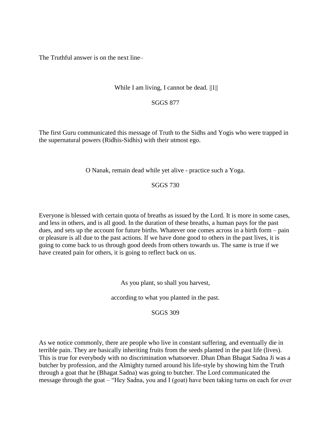The Truthful answer is on the next line–

## While I am living, I cannot be dead.  $||1||$

#### SGGS 877

The first Guru communicated this message of Truth to the Sidhs and Yogis who were trapped in the supernatural powers (Ridhis-Sidhis) with their utmost ego.

O Nanak, remain dead while yet alive - practice such a Yoga.

#### SGGS 730

Everyone is blessed with certain quota of breaths as issued by the Lord. It is more in some cases, and less in others, and is all good. In the duration of these breaths, a human pays for the past dues, and sets up the account for future births. Whatever one comes across in a birth form – pain or pleasure is all due to the past actions. If we have done good to others in the past lives, it is going to come back to us through good deeds from others towards us. The same is true if we have created pain for others, it is going to reflect back on us.

As you plant, so shall you harvest,

according to what you planted in the past.

## SGGS 309

As we notice commonly, there are people who live in constant suffering, and eventually die in terrible pain. They are basically inheriting fruits from the seeds planted in the past life (lives). This is true for everybody with no discrimination whatsoever. Dhan Dhan Bhagat Sadna Ji was a butcher by profession, and the Almighty turned around his life-style by showing him the Truth through a goat that he (Bhagat Sadna) was going to butcher. The Lord communicated the message through the goat – "Hey Sadna, you and I (goat) have been taking turns on each for over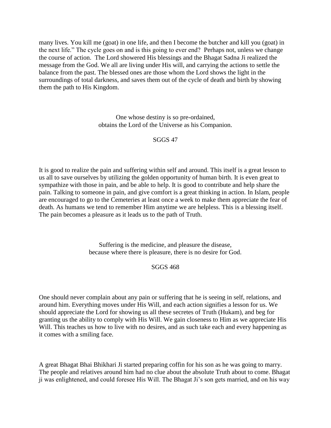many lives. You kill me (goat) in one life, and then I become the butcher and kill you (goat) in the next life." The cycle goes on and is this going to ever end? Perhaps not, unless we change the course of action. The Lord showered His blessings and the Bhagat Sadna Ji realized the message from the God. We all are living under His will, and carrying the actions to settle the balance from the past. The blessed ones are those whom the Lord shows the light in the surroundings of total darkness, and saves them out of the cycle of death and birth by showing them the path to His Kingdom.

> One whose destiny is so pre-ordained, obtains the Lord of the Universe as his Companion.

#### SGGS 47

It is good to realize the pain and suffering within self and around. This itself is a great lesson to us all to save ourselves by utilizing the golden opportunity of human birth. It is even great to sympathize with those in pain, and be able to help. It is good to contribute and help share the pain. Talking to someone in pain, and give comfort is a great thinking in action. In Islam, people are encouraged to go to the Cemeteries at least once a week to make them appreciate the fear of death. As humans we tend to remember Him anytime we are helpless. This is a blessing itself. The pain becomes a pleasure as it leads us to the path of Truth.

> Suffering is the medicine, and pleasure the disease, because where there is pleasure, there is no desire for God.

## SGGS 468

One should never complain about any pain or suffering that he is seeing in self, relations, and around him. Everything moves under His Will, and each action signifies a lesson for us. We should appreciate the Lord for showing us all these secretes of Truth (Hukam), and beg for granting us the ability to comply with His Will. We gain closeness to Him as we appreciate His Will. This teaches us how to live with no desires, and as such take each and every happening as it comes with a smiling face.

A great Bhagat Bhai Bhikhari Ji started preparing coffin for his son as he was going to marry. The people and relatives around him had no clue about the absolute Truth about to come. Bhagat ji was enlightened, and could foresee His Will. The Bhagat Ji's son gets married, and on his way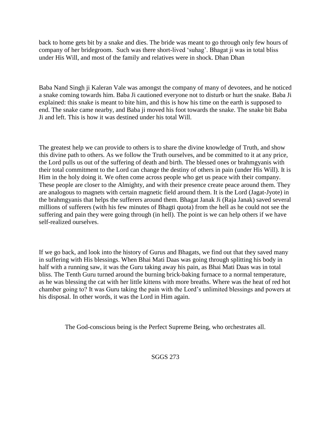back to home gets bit by a snake and dies. The bride was meant to go through only few hours of company of her bridegroom. Such was there short-lived 'suhag'. Bhagat ji was in total bliss under His Will, and most of the family and relatives were in shock. Dhan Dhan

Baba Nand Singh ji Kaleran Vale was amongst the company of many of devotees, and he noticed a snake coming towards him. Baba Ji cautioned everyone not to disturb or hurt the snake. Baba Ji explained: this snake is meant to bite him, and this is how his time on the earth is supposed to end. The snake came nearby, and Baba ji moved his foot towards the snake. The snake bit Baba Ji and left. This is how it was destined under his total Will.

The greatest help we can provide to others is to share the divine knowledge of Truth, and show this divine path to others. As we follow the Truth ourselves, and be committed to it at any price, the Lord pulls us out of the suffering of death and birth. The blessed ones or brahmgyanis with their total commitment to the Lord can change the destiny of others in pain (under His Will). It is Him in the holy doing it. We often come across people who get us peace with their company. These people are closer to the Almighty, and with their presence create peace around them. They are analogous to magnets with certain magnetic field around them. It is the Lord (Jagat-Jyote) in the brahmgyanis that helps the sufferers around them. Bhagat Janak Ji (Raja Janak) saved several millions of sufferers (with his few minutes of Bhagti quota) from the hell as he could not see the suffering and pain they were going through (in hell). The point is we can help others if we have self-realized ourselves.

If we go back, and look into the history of Gurus and Bhagats, we find out that they saved many in suffering with His blessings. When Bhai Mati Daas was going through splitting his body in half with a running saw, it was the Guru taking away his pain, as Bhai Mati Daas was in total bliss. The Tenth Guru turned around the burning brick-baking furnace to a normal temperature, as he was blessing the cat with her little kittens with more breaths. Where was the heat of red hot chamber going to? It was Guru taking the pain with the Lord's unlimited blessings and powers at his disposal. In other words, it was the Lord in Him again.

The God-conscious being is the Perfect Supreme Being, who orchestrates all.

SGGS 273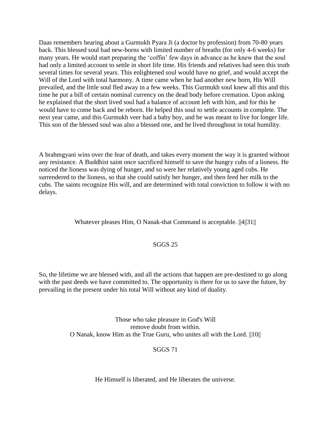Daas remembers hearing about a Gurmukh Pyara Ji (a doctor by profession) from 70-80 years back. This blessed soul had new-borns with limited number of breaths (for only 4-6 weeks) for many years. He would start preparing the 'coffin' few days in advance as he knew that the soul had only a limited account to settle in short life time. His friends and relatives had seen this truth several times for several years. This enlightened soul would have no grief, and would accept the Will of the Lord with total harmony. A time came when he had another new born, His Will prevailed, and the little soul fled away in a few weeks. This Gurmukh soul knew all this and this time he put a bill of certain nominal currency on the dead body before cremation. Upon asking he explained that the short lived soul had a balance of account left with him, and for this he would have to come back and be reborn. He helped this soul to settle accounts in complete. The next year came, and this Gurmukh veer had a baby boy, and he was meant to live for longer life. This son of the blessed soul was also a blessed one, and he lived throughout in total humility.

A brahmgyani wins over the fear of death, and takes every moment the way it is granted without any resistance. A Buddhist saint once sacrificed himself to save the hungry cubs of a lioness. He noticed the lioness was dying of hunger, and so were her relatively young aged cubs. He surrendered to the lioness, so that she could satisfy her hunger, and then feed her milk to the cubs. The saints recognize His will, and are determined with total conviction to follow it with no delays.

## Whatever pleases Him, O Nanak-that Command is acceptable. ||4||31||

## SGGS 25

So, the lifetime we are blessed with, and all the actions that happen are pre-destined to go along with the past deeds we have committed to. The opportunity is there for us to save the future, by prevailing in the present under his total Will without any kind of duality.

> Those who take pleasure in God's Will remove doubt from within. O Nanak, know Him as the True Guru, who unites all with the Lord. ||10||

## SGGS 71

He Himself is liberated, and He liberates the universe.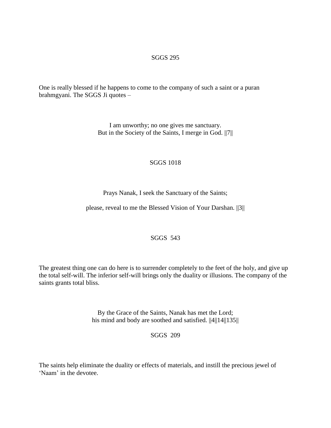#### SGGS 295

One is really blessed if he happens to come to the company of such a saint or a puran brahmgyani. The SGGS Ji quotes –

> I am unworthy; no one gives me sanctuary. But in the Society of the Saints, I merge in God. ||7||

#### SGGS 1018

Prays Nanak, I seek the Sanctuary of the Saints;

please, reveal to me the Blessed Vision of Your Darshan. ||3||

## SGGS 543

The greatest thing one can do here is to surrender completely to the feet of the holy, and give up the total self-will. The inferior self-will brings only the duality or illusions. The company of the saints grants total bliss.

> By the Grace of the Saints, Nanak has met the Lord; his mind and body are soothed and satisfied.  $||4||14||135||$

> > SGGS 209

The saints help eliminate the duality or effects of materials, and instill the precious jewel of 'Naam' in the devotee.